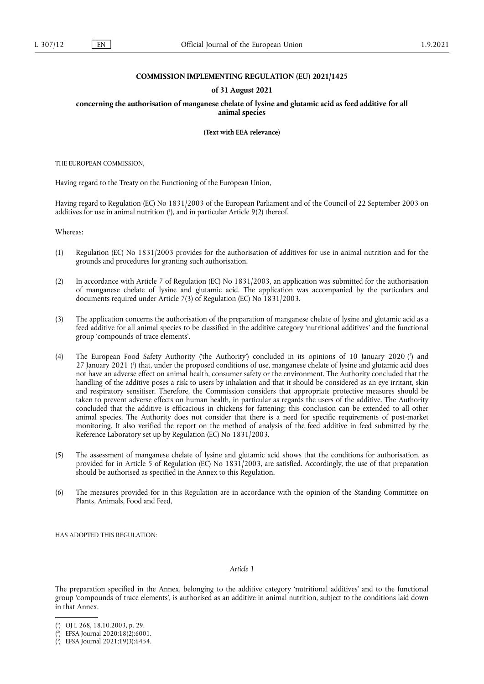## **COMMISSION IMPLEMENTING REGULATION (EU) 2021/1425**

## **of 31 August 2021**

**concerning the authorisation of manganese chelate of lysine and glutamic acid as feed additive for all animal species** 

**(Text with EEA relevance)** 

THE EUROPEAN COMMISSION,

Having regard to the Treaty on the Functioning of the European Union,

<span id="page-0-3"></span>Having regard to Regulation (EC) No 1831/2003 of the European Parliament and of the Council of 22 September 2003 on additives for use in animal nutrition ( 1 [\),](#page-0-0) and in particular Article 9(2) thereof,

Whereas:

- (1) Regulation (EC) No 1831/2003 provides for the authorisation of additives for use in animal nutrition and for the grounds and procedures for granting such authorisation.
- (2) In accordance with Article 7 of Regulation (EC) No 1831/2003, an application was submitted for the authorisation of manganese chelate of lysine and glutamic acid. The application was accompanied by the particulars and documents required under Article 7(3) of Regulation (EC) No 1831/2003.
- (3) The application concerns the authorisation of the preparation of manganese chelate of lysine and glutamic acid as a feed additive for all animal species to be classified in the additive category 'nutritional additives' and the functional group 'compounds of trace elements'.
- <span id="page-0-5"></span><span id="page-0-4"></span>(4) The European Food Safety Authority ('the Authority') concluded in its opinions of 10 January 2020 [\(](#page-0-1) 2 ) and 27 January 2021 [\(](#page-0-2)<sup>3</sup>) that, under the proposed conditions of use, manganese chelate of lysine and glutamic acid does not have an adverse effect on animal health, consumer safety or the environment. The Authority concluded that the handling of the additive poses a risk to users by inhalation and that it should be considered as an eye irritant, skin and respiratory sensitiser. Therefore, the Commission considers that appropriate protective measures should be taken to prevent adverse effects on human health, in particular as regards the users of the additive. The Authority concluded that the additive is efficacious in chickens for fattening; this conclusion can be extended to all other animal species. The Authority does not consider that there is a need for specific requirements of post-market monitoring. It also verified the report on the method of analysis of the feed additive in feed submitted by the Reference Laboratory set up by Regulation (EC) No 1831/2003.
- (5) The assessment of manganese chelate of lysine and glutamic acid shows that the conditions for authorisation, as provided for in Article 5 of Regulation (EC) No 1831/2003, are satisfied. Accordingly, the use of that preparation should be authorised as specified in the Annex to this Regulation.
- (6) The measures provided for in this Regulation are in accordance with the opinion of the Standing Committee on Plants, Animals, Food and Feed,

HAS ADOPTED THIS REGULATION:

*Article 1*

The preparation specified in the Annex, belonging to the additive category 'nutritional additives' and to the functional group 'compounds of trace elements', is authorised as an additive in animal nutrition, subject to the conditions laid down in that Annex.

<span id="page-0-0"></span>[<sup>\(</sup>](#page-0-3) 1 ) OJ L 268, 18.10.2003, p. 29.

<span id="page-0-1"></span>[<sup>\(</sup>](#page-0-4) 2 ) EFSA Journal 2020;18(2):6001.

<span id="page-0-2"></span><sup>(</sup> 3 [\)](#page-0-5) EFSA Journal 2021;19(3):6454.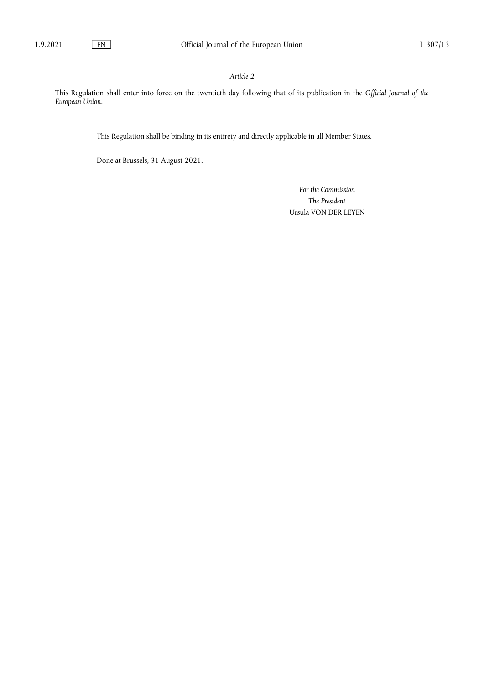## *Article 2*

This Regulation shall enter into force on the twentieth day following that of its publication in the *Official Journal of the European Union.*

This Regulation shall be binding in its entirety and directly applicable in all Member States.

Done at Brussels, 31 August 2021.

*For the Commission The President* Ursula VON DER LEYEN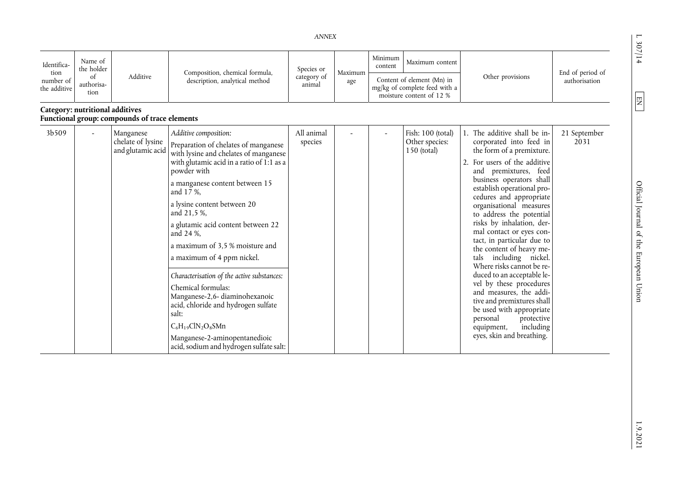$1.307/14$ 

 $\boxed{\text{EM}}$ 

| Identifica-<br>tion<br>number of<br>the additive | Name of<br>the holder<br>of<br>authorisa-<br>tion | Additive                                            | Composition, chemical formula,<br>description, analytical method                                                                                                                                                                                                                                                                                                                                                                                                                                                                                                                                                                              | Species or<br>category of<br>animal | Maximum<br>age | Minimum<br>Maximum content<br>content<br>Content of element (Mn) in<br>mg/kg of complete feed with a<br>moisture content of 12 % |                                                      | Other provisions                                                                                                                                                                                                                                                                                                                                                                                                                                                                                                                                                                                                                                                                                       | End of period of<br>authorisation |
|--------------------------------------------------|---------------------------------------------------|-----------------------------------------------------|-----------------------------------------------------------------------------------------------------------------------------------------------------------------------------------------------------------------------------------------------------------------------------------------------------------------------------------------------------------------------------------------------------------------------------------------------------------------------------------------------------------------------------------------------------------------------------------------------------------------------------------------------|-------------------------------------|----------------|----------------------------------------------------------------------------------------------------------------------------------|------------------------------------------------------|--------------------------------------------------------------------------------------------------------------------------------------------------------------------------------------------------------------------------------------------------------------------------------------------------------------------------------------------------------------------------------------------------------------------------------------------------------------------------------------------------------------------------------------------------------------------------------------------------------------------------------------------------------------------------------------------------------|-----------------------------------|
| Category: nutritional additives                  |                                                   | Functional group: compounds of trace elements       |                                                                                                                                                                                                                                                                                                                                                                                                                                                                                                                                                                                                                                               |                                     |                |                                                                                                                                  |                                                      |                                                                                                                                                                                                                                                                                                                                                                                                                                                                                                                                                                                                                                                                                                        |                                   |
| 3b509                                            | $\overline{a}$                                    | Manganese<br>chelate of lysine<br>and glutamic acid | Additive composition:<br>Preparation of chelates of manganese<br>with lysine and chelates of manganese<br>with glutamic acid in a ratio of 1:1 as a<br>powder with<br>a manganese content between 15<br>and 17 %,<br>a lysine content between 20<br>and 21,5 %,<br>a glutamic acid content between 22<br>and 24 %,<br>a maximum of 3,5 % moisture and<br>a maximum of 4 ppm nickel.<br>Characterisation of the active substances:<br>Chemical formulas:<br>Manganese-2,6-diaminohexanoic<br>acid, chloride and hydrogen sulfate<br>salt:<br>$C_6H_1_9ClN_2O_8SMn$<br>Manganese-2-aminopentanedioic<br>acid, sodium and hydrogen sulfate salt: | All animal<br>species               |                |                                                                                                                                  | Fish: 100 (total)<br>Other species:<br>$150$ (total) | 1. The additive shall be in-<br>corporated into feed in<br>the form of a premixture.<br>2. For users of the additive<br>and premixtures, feed<br>business operators shall<br>establish operational pro-<br>cedures and appropriate<br>organisational measures<br>to address the potential<br>risks by inhalation, der-<br>mal contact or eyes con-<br>tact, in particular due to<br>the content of heavy me-<br>including nickel.<br>tals<br>Where risks cannot be re-<br>duced to an acceptable le-<br>vel by these procedures<br>and measures, the addi-<br>tive and premixtures shall<br>be used with appropriate<br>personal<br>protective<br>including<br>equipment,<br>eyes, skin and breathing. | 21 September<br>2031              |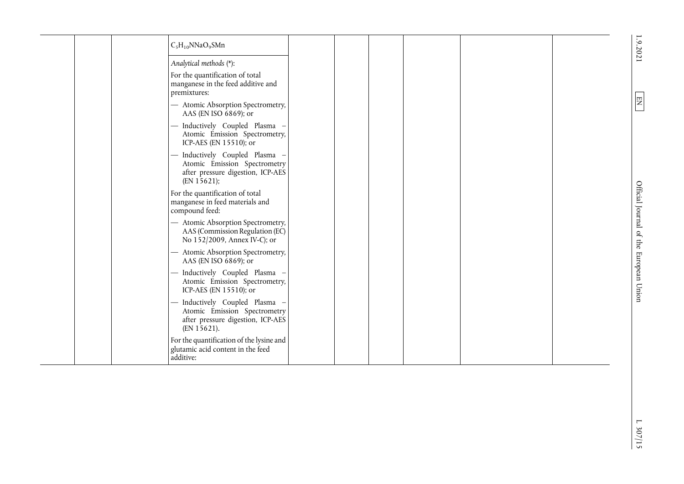<span id="page-3-0"></span>

|  | $C_5H_{10}NNaO_9SMn$                                                                                             |  |  |  | 1.9.2021                               |
|--|------------------------------------------------------------------------------------------------------------------|--|--|--|----------------------------------------|
|  | Analytical methods (*):                                                                                          |  |  |  |                                        |
|  | For the quantification of total<br>manganese in the feed additive and<br>premixtures:                            |  |  |  |                                        |
|  | - Atomic Absorption Spectrometry,<br>AAS (EN ISO $6869$ ); or                                                    |  |  |  | 罔                                      |
|  | - Inductively Coupled Plasma<br>Atomic Emission Spectrometry,<br>ICP-AES (EN 15510); or                          |  |  |  |                                        |
|  | Inductively Coupled Plasma -<br>Atomic Emission Spectrometry<br>after pressure digestion, ICP-AES<br>(EN 15621); |  |  |  |                                        |
|  | For the quantification of total<br>manganese in feed materials and<br>compound feed:                             |  |  |  | Official Journal of the European Union |
|  | - Atomic Absorption Spectrometry,<br>AAS (Commission Regulation (EC)<br>No 152/2009, Annex IV-C); or             |  |  |  |                                        |
|  | - Atomic Absorption Spectrometry,<br>AAS (EN ISO $6869$ ); or                                                    |  |  |  |                                        |
|  | - Inductively Coupled Plasma -<br>Atomic Emission Spectrometry,<br>ICP-AES (EN 15510); or                        |  |  |  |                                        |
|  | Inductively Coupled Plasma -<br>Atomic Emission Spectrometry<br>after pressure digestion, ICP-AES<br>(EN 15621). |  |  |  |                                        |
|  | For the quantification of the lysine and<br>glutamic acid content in the feed<br>additive:                       |  |  |  |                                        |
|  |                                                                                                                  |  |  |  |                                        |
|  |                                                                                                                  |  |  |  |                                        |
|  |                                                                                                                  |  |  |  | $\overline{a}$                         |
|  |                                                                                                                  |  |  |  | 307/15                                 |